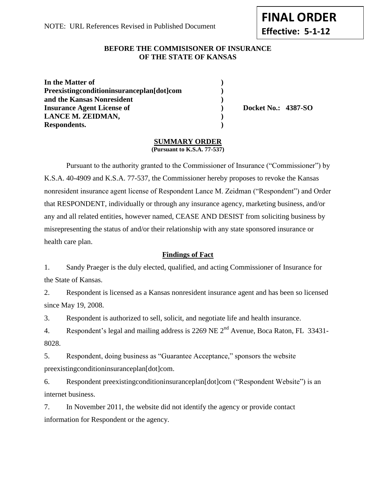**FINAL ORDER Effective: 5-1-12**

## **BEFORE THE COMMISISONER OF INSURANCE OF THE STATE OF KANSAS**

| In the Matter of                          |  |
|-------------------------------------------|--|
| Preexistingconditioninsuranceplan[dot]com |  |
| and the Kansas Nonresident                |  |
| <b>Insurance Agent License of</b>         |  |
| LANCE M. ZEIDMAN,                         |  |
| Respondents.                              |  |

**Insurance Agent License of ) Docket No.: 4387-SO**

## **SUMMARY ORDER**

**(Pursuant to K.S.A. 77-537)**

Pursuant to the authority granted to the Commissioner of Insurance ("Commissioner") by K.S.A. 40-4909 and K.S.A. 77-537, the Commissioner hereby proposes to revoke the Kansas nonresident insurance agent license of Respondent Lance M. Zeidman ("Respondent") and Order that RESPONDENT, individually or through any insurance agency, marketing business, and/or any and all related entities, however named, CEASE AND DESIST from soliciting business by misrepresenting the status of and/or their relationship with any state sponsored insurance or health care plan.

## **Findings of Fact**

1. Sandy Praeger is the duly elected, qualified, and acting Commissioner of Insurance for the State of Kansas.

2. Respondent is licensed as a Kansas nonresident insurance agent and has been so licensed since May 19, 2008.

3. Respondent is authorized to sell, solicit, and negotiate life and health insurance.

4. Respondent's legal and mailing address is 2269 NE  $2<sup>nd</sup>$  Avenue, Boca Raton, FL 33431-8028.

5. Respondent, doing business as "Guarantee Acceptance," sponsors the website preexisting conditioninsurance plan [dot]com.

6. Respondent preexistingconditioninsuranceplan[dot]com ("Respondent Website") is an internet business.

7. In November 2011, the website did not identify the agency or provide contact information for Respondent or the agency.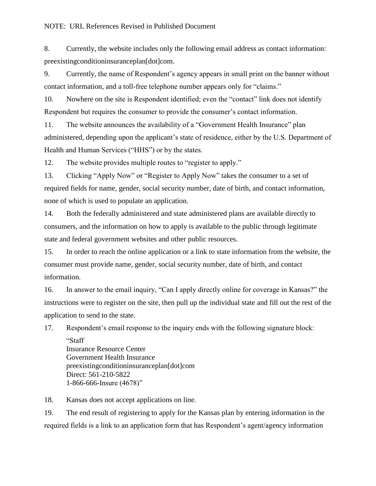8. Currently, the website includes only the following email address as contact information: preexistingconditioninsuranceplan[dot]com.

9. Currently, the name of Respondent's agency appears in small print on the banner without contact information, and a toll-free telephone number appears only for "claims."

10. Nowhere on the site is Respondent identified; even the "contact" link does not identify Respondent but requires the consumer to provide the consumer's contact information.

11. The website announces the availability of a "Government Health Insurance" plan administered, depending upon the applicant's state of residence, either by the U.S. Department of Health and Human Services ("HHS") or by the states.

12. The website provides multiple routes to "register to apply."

13. Clicking "Apply Now" or "Register to Apply Now" takes the consumer to a set of required fields for name, gender, social security number, date of birth, and contact information, none of which is used to populate an application.

14. Both the federally administered and state administered plans are available directly to consumers, and the information on how to apply is available to the public through legitimate state and federal government websites and other public resources.

15. In order to reach the online application or a link to state information from the website, the consumer must provide name, gender, social security number, date of birth, and contact information.

16. In answer to the email inquiry, "Can I apply directly online for coverage in Kansas?" the instructions were to register on the site, then pull up the individual state and fill out the rest of the application to send to the state.

17. Respondent's email response to the inquiry ends with the following signature block:

"Staff Insurance Resource Center Government Health Insurance preexistingconditioninsuranceplan[dot]com Direct: 561-210-5822 1-866-666-Insure (4678)"

18. Kansas does not accept applications on line.

19. The end result of registering to apply for the Kansas plan by entering information in the required fields is a link to an application form that has Respondent's agent/agency information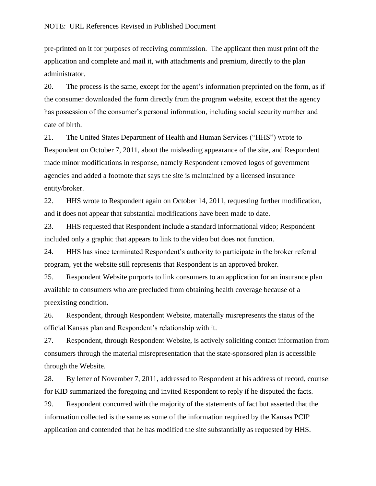pre-printed on it for purposes of receiving commission. The applicant then must print off the application and complete and mail it, with attachments and premium, directly to the plan administrator.

20. The process is the same, except for the agent's information preprinted on the form, as if the consumer downloaded the form directly from the program website, except that the agency has possession of the consumer's personal information, including social security number and date of birth.

21. The United States Department of Health and Human Services ("HHS") wrote to Respondent on October 7, 2011, about the misleading appearance of the site, and Respondent made minor modifications in response, namely Respondent removed logos of government agencies and added a footnote that says the site is maintained by a licensed insurance entity/broker.

22. HHS wrote to Respondent again on October 14, 2011, requesting further modification, and it does not appear that substantial modifications have been made to date.

23. HHS requested that Respondent include a standard informational video; Respondent included only a graphic that appears to link to the video but does not function.

24. HHS has since terminated Respondent's authority to participate in the broker referral program, yet the website still represents that Respondent is an approved broker.

25. Respondent Website purports to link consumers to an application for an insurance plan available to consumers who are precluded from obtaining health coverage because of a preexisting condition.

26. Respondent, through Respondent Website, materially misrepresents the status of the official Kansas plan and Respondent's relationship with it.

27. Respondent, through Respondent Website, is actively soliciting contact information from consumers through the material misrepresentation that the state-sponsored plan is accessible through the Website.

28. By letter of November 7, 2011, addressed to Respondent at his address of record, counsel for KID summarized the foregoing and invited Respondent to reply if he disputed the facts.

29. Respondent concurred with the majority of the statements of fact but asserted that the information collected is the same as some of the information required by the Kansas PCIP application and contended that he has modified the site substantially as requested by HHS.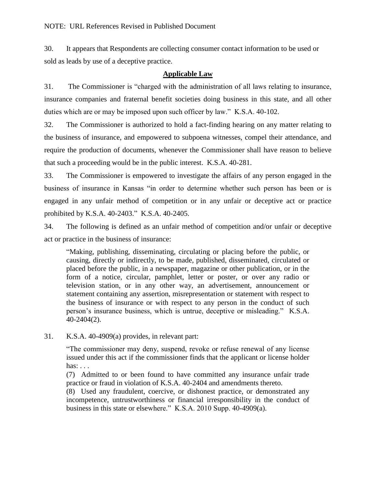30. It appears that Respondents are collecting consumer contact information to be used or sold as leads by use of a deceptive practice.

## **Applicable Law**

31. The Commissioner is "charged with the administration of all laws relating to insurance, insurance companies and fraternal benefit societies doing business in this state, and all other duties which are or may be imposed upon such officer by law." K.S.A. 40-102.

32. The Commissioner is authorized to hold a fact-finding hearing on any matter relating to the business of insurance, and empowered to subpoena witnesses, compel their attendance, and require the production of documents, whenever the Commissioner shall have reason to believe that such a proceeding would be in the public interest. K.S.A. 40-281.

33. The Commissioner is empowered to investigate the affairs of any person engaged in the business of insurance in Kansas "in order to determine whether such person has been or is engaged in any unfair method of competition or in any unfair or deceptive act or practice prohibited by K.S.A. 40-2403." K.S.A. 40-2405.

34. The following is defined as an unfair method of competition and/or unfair or deceptive act or practice in the business of insurance:

"Making, publishing, disseminating, circulating or placing before the public, or causing, directly or indirectly, to be made, published, disseminated, circulated or placed before the public, in a newspaper, magazine or other publication, or in the form of a notice, circular, pamphlet, letter or poster, or over any radio or television station, or in any other way, an advertisement, announcement or statement containing any assertion, misrepresentation or statement with respect to the business of insurance or with respect to any person in the conduct of such person's insurance business, which is untrue, deceptive or misleading." K.S.A. 40-2404(2).

31. K.S.A. 40-4909(a) provides, in relevant part:

"The commissioner may deny, suspend, revoke or refuse renewal of any license issued under this act if the commissioner finds that the applicant or license holder has:  $\ldots$ 

(7) Admitted to or been found to have committed any insurance unfair trade practice or fraud in violation of K.S.A. 40-2404 and amendments thereto.

(8) Used any fraudulent, coercive, or dishonest practice, or demonstrated any incompetence, untrustworthiness or financial irresponsibility in the conduct of business in this state or elsewhere." K.S.A. 2010 Supp. 40-4909(a).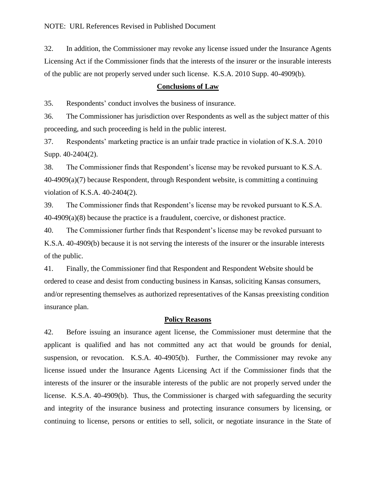32. In addition, the Commissioner may revoke any license issued under the Insurance Agents Licensing Act if the Commissioner finds that the interests of the insurer or the insurable interests of the public are not properly served under such license. K.S.A. 2010 Supp. 40-4909(b).

#### **Conclusions of Law**

35. Respondents' conduct involves the business of insurance.

36. The Commissioner has jurisdiction over Respondents as well as the subject matter of this proceeding, and such proceeding is held in the public interest.

37. Respondents' marketing practice is an unfair trade practice in violation of K.S.A. 2010 Supp. 40-2404(2).

38. The Commissioner finds that Respondent's license may be revoked pursuant to K.S.A. 40-4909(a)(7) because Respondent, through Respondent website, is committing a continuing violation of K.S.A. 40-2404(2).

39. The Commissioner finds that Respondent's license may be revoked pursuant to K.S.A. 40-4909(a)(8) because the practice is a fraudulent, coercive, or dishonest practice.

40. The Commissioner further finds that Respondent's license may be revoked pursuant to K.S.A. 40-4909(b) because it is not serving the interests of the insurer or the insurable interests of the public.

41. Finally, the Commissioner find that Respondent and Respondent Website should be ordered to cease and desist from conducting business in Kansas, soliciting Kansas consumers, and/or representing themselves as authorized representatives of the Kansas preexisting condition insurance plan.

#### **Policy Reasons**

42. Before issuing an insurance agent license, the Commissioner must determine that the applicant is qualified and has not committed any act that would be grounds for denial, suspension, or revocation. K.S.A. 40-4905(b). Further, the Commissioner may revoke any license issued under the Insurance Agents Licensing Act if the Commissioner finds that the interests of the insurer or the insurable interests of the public are not properly served under the license. K.S.A. 40-4909(b). Thus, the Commissioner is charged with safeguarding the security and integrity of the insurance business and protecting insurance consumers by licensing, or continuing to license, persons or entities to sell, solicit, or negotiate insurance in the State of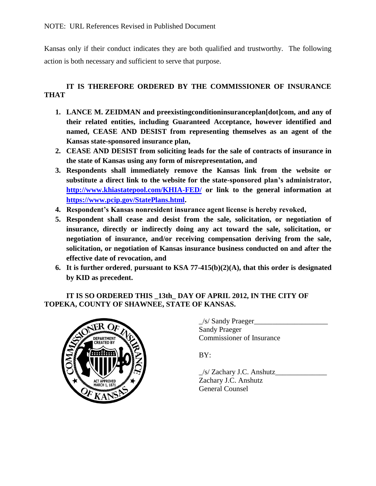Kansas only if their conduct indicates they are both qualified and trustworthy. The following action is both necessary and sufficient to serve that purpose.

# **IT IS THEREFORE ORDERED BY THE COMMISSIONER OF INSURANCE THAT**

- **1. LANCE M. ZEIDMAN and preexistingconditioninsuranceplan[dot]com, and any of their related entities, including Guaranteed Acceptance, however identified and named, CEASE AND DESIST from representing themselves as an agent of the Kansas state-sponsored insurance plan,**
- **2. CEASE AND DESIST from soliciting leads for the sale of contracts of insurance in the state of Kansas using any form of misrepresentation, and**
- **3. Respondents shall immediately remove the Kansas link from the website or substitute a direct link to the website for the state-sponsored plan's administrator, <http://www.khiastatepool.com/KHIA-FED/> or link to the general information at [https://www.pcip.gov/StatePlans.html.](https://www.pcip.gov/StatePlans.html)**
- **4. Respondent's Kansas nonresident insurance agent license is hereby revoked,**
- **5. Respondent shall cease and desist from the sale, solicitation, or negotiation of insurance, directly or indirectly doing any act toward the sale, solicitation, or negotiation of insurance, and/or receiving compensation deriving from the sale, solicitation, or negotiation of Kansas insurance business conducted on and after the effective date of revocation, and**
- **6. It is further ordered**, **pursuant to KSA 77-415(b)(2)(A), that this order is designated by KID as precedent.**

## **IT IS SO ORDERED THIS \_13th\_ DAY OF APRIL 2012, IN THE CITY OF TOPEKA, COUNTY OF SHAWNEE, STATE OF KANSAS.**



\_/s/ Sandy Praeger\_\_\_\_\_\_\_\_\_\_\_\_\_\_\_\_\_\_\_\_ Sandy Praeger Commissioner of Insurance

BY:

 $/s/$  Zachary J.C. Anshutz Zachary J.C. Anshutz General Counsel